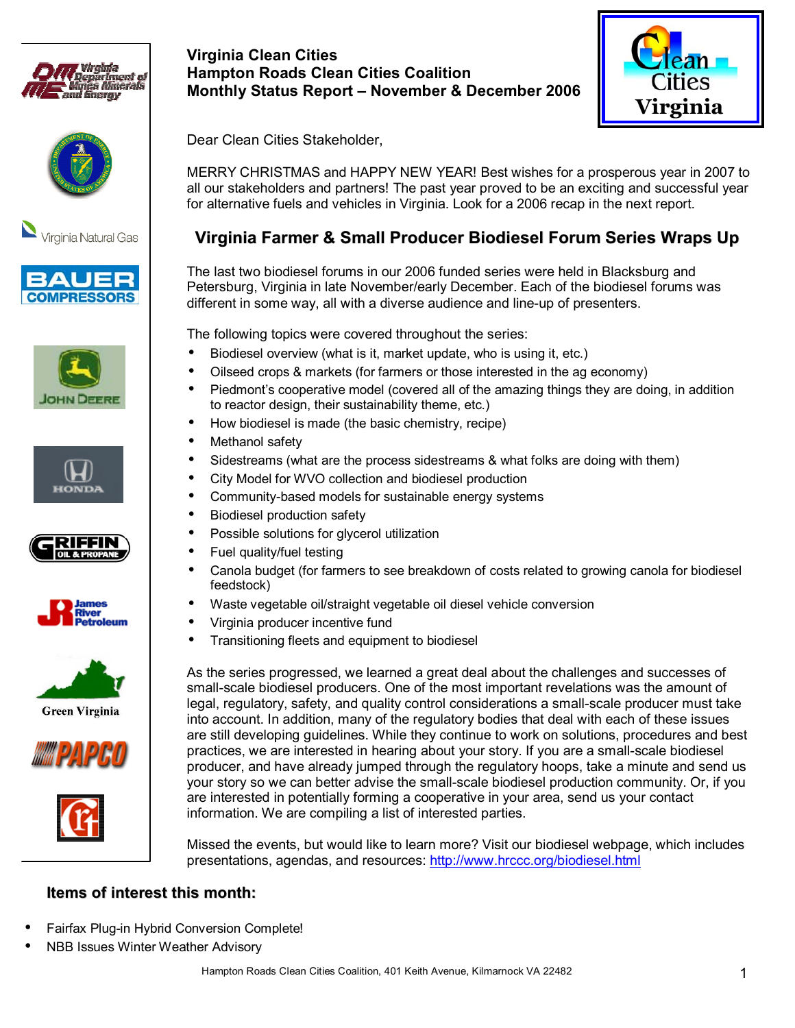





















## **Virginia Clean Cities Hampton Roads Clean Cities Coalition Monthly Status Report - November & December 2006**



Dear Clean Cities Stakeholder,

MERRY CHRISTMAS and HAPPY NEW YEAR! Best wishes for a prosperous year in 2007 to all our stakeholders and partners! The past year proved to be an exciting and successful year for alternative fuels and vehicles in Virginia. Look for a 2006 recap in the next report.

# **Virginia Farmer & Small Producer Biodiesel Forum Series Wraps Up**

The last two biodiesel forums in our 2006 funded series were held in Blacksburg and Petersburg, Virginia in late November/early December. Each of the biodiesel forums was different in some way, all with a diverse audience and line-up of presenters.

The following topics were covered throughout the series:

- Biodiesel overview (what is it, market update, who is using it, etc.)
- Oilseed crops & markets (for farmers or those interested in the ag economy)
- Piedmont's cooperative model (covered all of the amazing things they are doing, in addition to reactor design, their sustainability theme, etc.)
- How biodiesel is made (the basic chemistry, recipe)
- Methanol safety
- Sidestreams (what are the process sidestreams & what folks are doing with them)
- City Model for WVO collection and biodiesel production
- Community-based models for sustainable energy systems
- Biodiesel production safety
- Possible solutions for glycerol utilization
- Fuel quality/fuel testing
- Canola budget (for farmers to see breakdown of costs related to growing canola for biodiesel feedstock)
- Waste vegetable oil/straight vegetable oil diesel vehicle conversion
- Virginia producer incentive fund
	- Transitioning fleets and equipment to biodiesel

As the series progressed, we learned a great deal about the challenges and successes of small-scale biodiesel producers. One of the most important revelations was the amount of legal, regulatory, safety, and quality control considerations a small-scale producer must take into account. In addition, many of the regulatory bodies that deal with each of these issues are still developing guidelines. While they continue to work on solutions, procedures and best practices, we are interested in hearing about your story. If you are a small-scale biodiesel producer, and have already jumped through the regulatory hoops, take a minute and send us your story so we can better advise the small-scale biodiesel production community. Or, if you are interested in potentially forming a cooperative in your area, send us your contact information. We are compiling a list of interested parties.

Missed the events, but would like to learn more? Visit our biodiesel webpage, which includes presentations, agendas, and resources: http://www.hrccc.org/biodiesel.html

### **Items of interest this month:**

- Fairfax Plug-in Hybrid Conversion Complete!
- NBB Issues Winter Weather Advisory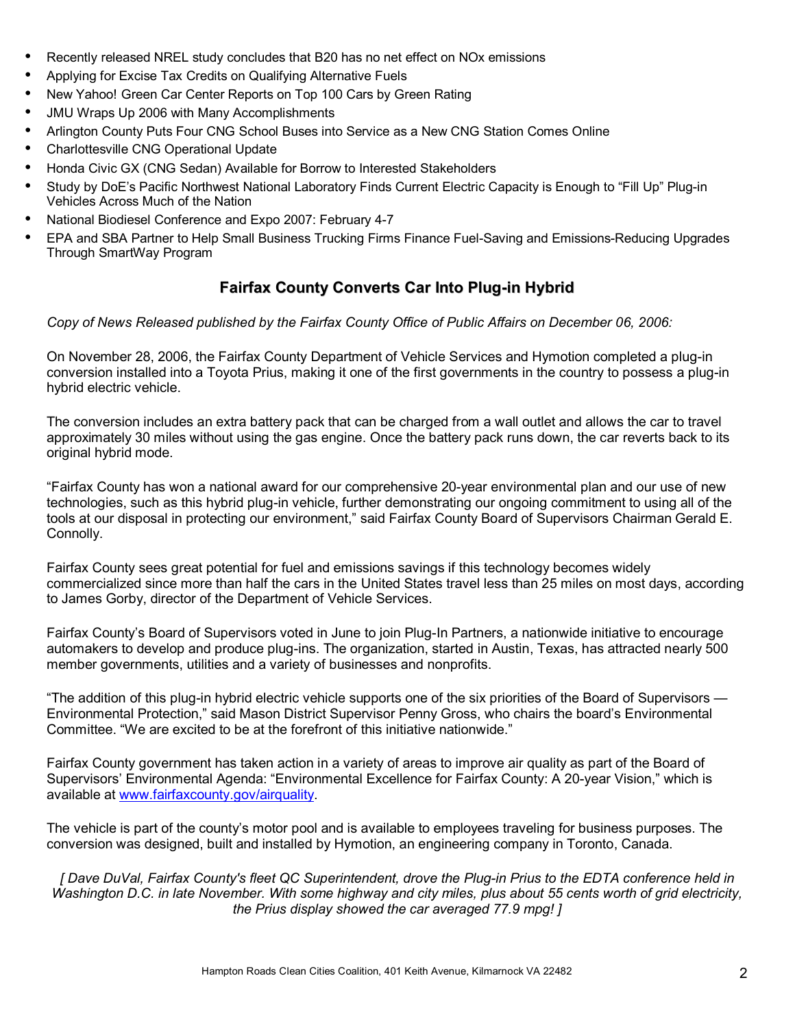- Recently released NREL study concludes that B20 has no net effect on NOx emissions
- Applying for Excise Tax Credits on Qualifying Alternative Fuels
- New Yahoo! Green Car Center Reports on Top 100 Cars by Green Rating
- JMU Wraps Up 2006 with Many Accomplishments
- Arlington County Puts Four CNG School Buses into Service as a New CNG Station Comes Online
- Charlottesville CNG Operational Update
- Honda Civic GX (CNG Sedan) Available for Borrow to Interested Stakeholders
- Study by DoE's Pacific Northwest National Laboratory Finds Current Electric Capacity is Enough to "Fill Up" Plug-in Vehicles Across Much of the Nation
- National Biodiesel Conference and Expo 2007: February 4-7
- EPA and SBA Partner to Help Small Business Trucking Firms Finance Fuel-Saving and Emissions-Reducing Upgrades Through SmartWay Program

## **Fairfax County Converts Car Into Plug-in Hybrid**

*Copy of News Released published by the Fairfax County Office of Public Affairs on December 06, 2006:* 

On November 28, 2006, the Fairfax County Department of Vehicle Services and Hymotion completed a plug-in conversion installed into a Toyota Prius, making it one of the first governments in the country to possess a plug-in hybrid electric vehicle.

The conversion includes an extra battery pack that can be charged from a wall outlet and allows the car to travel approximately 30 miles without using the gas engine. Once the battery pack runs down, the car reverts back to its original hybrid mode.

ìFairfax County has won a national award for our comprehensive 20-year environmental plan and our use of new technologies, such as this hybrid plug-in vehicle, further demonstrating our ongoing commitment to using all of the tools at our disposal in protecting our environment," said Fairfax County Board of Supervisors Chairman Gerald E. Connolly.

Fairfax County sees great potential for fuel and emissions savings if this technology becomes widely commercialized since more than half the cars in the United States travel less than 25 miles on most days, according to James Gorby, director of the Department of Vehicle Services.

Fairfax Countyís Board of Supervisors voted in June to join Plug-In Partners, a nationwide initiative to encourage automakers to develop and produce plug-ins. The organization, started in Austin, Texas, has attracted nearly 500 member governments, utilities and a variety of businesses and nonprofits.

"The addition of this plug-in hybrid electric vehicle supports one of the six priorities of the Board of Supervisors — Environmental Protection," said Mason District Supervisor Penny Gross, who chairs the board's Environmental Committee. "We are excited to be at the forefront of this initiative nationwide."

Fairfax County government has taken action in a variety of areas to improve air quality as part of the Board of Supervisors' Environmental Agenda: "Environmental Excellence for Fairfax County: A 20-year Vision," which is available at www.fairfaxcounty.gov/airquality.

The vehicle is part of the countyís motor pool and is available to employees traveling for business purposes. The conversion was designed, built and installed by Hymotion, an engineering company in Toronto, Canada.

*[ Dave DuVal, Fairfax County's fleet QC Superintendent, drove the Plug-in Prius to the EDTA conference held in Washington D.C. in late November. With some highway and city miles, plus about 55 cents worth of grid electricity, the Prius display showed the car averaged 77.9 mpg! ]*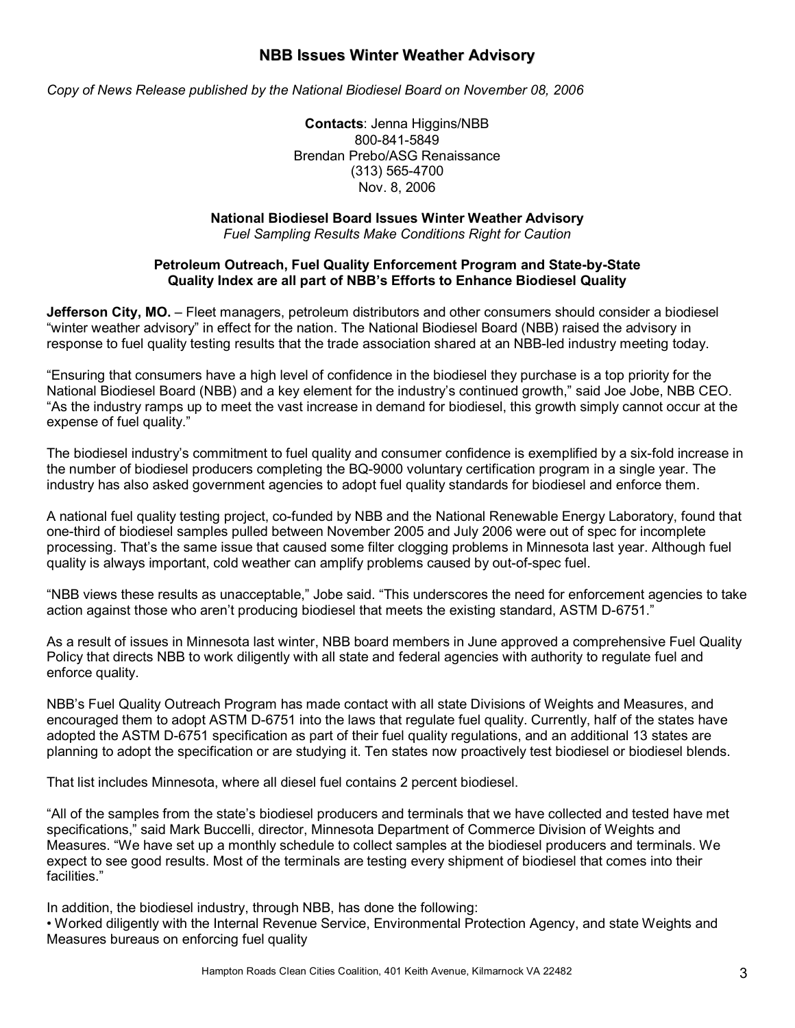### **NBB Issues Winter Weather Advisory**

*Copy of News Release published by the National Biodiesel Board on November 08, 2006* 

**Contacts**: Jenna Higgins/NBB 800-841-5849 Brendan Prebo/ASG Renaissance (313) 565-4700 Nov. 8, 2006

#### **National Biodiesel Board Issues Winter Weather Advisory**

*Fuel Sampling Results Make Conditions Right for Caution* 

#### **Petroleum Outreach, Fuel Quality Enforcement Program and State-by-State Quality Index are all part of NBBís Efforts to Enhance Biodiesel Quality**

**Jefferson City, MO.** – Fleet managers, petroleum distributors and other consumers should consider a biodiesel "winter weather advisory" in effect for the nation. The National Biodiesel Board (NBB) raised the advisory in response to fuel quality testing results that the trade association shared at an NBB-led industry meeting today.

ìEnsuring that consumers have a high level of confidence in the biodiesel they purchase is a top priority for the National Biodiesel Board (NBB) and a key element for the industry's continued growth," said Joe Jobe, NBB CEO. "As the industry ramps up to meet the vast increase in demand for biodiesel, this growth simply cannot occur at the expense of fuel quality."

The biodiesel industryís commitment to fuel quality and consumer confidence is exemplified by a six-fold increase in the number of biodiesel producers completing the BQ-9000 voluntary certification program in a single year. The industry has also asked government agencies to adopt fuel quality standards for biodiesel and enforce them.

A national fuel quality testing project, co-funded by NBB and the National Renewable Energy Laboratory, found that one-third of biodiesel samples pulled between November 2005 and July 2006 were out of spec for incomplete processing. Thatís the same issue that caused some filter clogging problems in Minnesota last year. Although fuel quality is always important, cold weather can amplify problems caused by out-of-spec fuel.

"NBB views these results as unacceptable," Jobe said. "This underscores the need for enforcement agencies to take action against those who aren't producing biodiesel that meets the existing standard, ASTM D-6751."

As a result of issues in Minnesota last winter, NBB board members in June approved a comprehensive Fuel Quality Policy that directs NBB to work diligently with all state and federal agencies with authority to regulate fuel and enforce quality.

NBBís Fuel Quality Outreach Program has made contact with all state Divisions of Weights and Measures, and encouraged them to adopt ASTM D-6751 into the laws that regulate fuel quality. Currently, half of the states have adopted the ASTM D-6751 specification as part of their fuel quality regulations, and an additional 13 states are planning to adopt the specification or are studying it. Ten states now proactively test biodiesel or biodiesel blends.

That list includes Minnesota, where all diesel fuel contains 2 percent biodiesel.

ìAll of the samples from the stateís biodiesel producers and terminals that we have collected and tested have met specifications," said Mark Buccelli, director, Minnesota Department of Commerce Division of Weights and Measures. "We have set up a monthly schedule to collect samples at the biodiesel producers and terminals. We expect to see good results. Most of the terminals are testing every shipment of biodiesel that comes into their facilities."

In addition, the biodiesel industry, through NBB, has done the following:

ï Worked diligently with the Internal Revenue Service, Environmental Protection Agency, and state Weights and Measures bureaus on enforcing fuel quality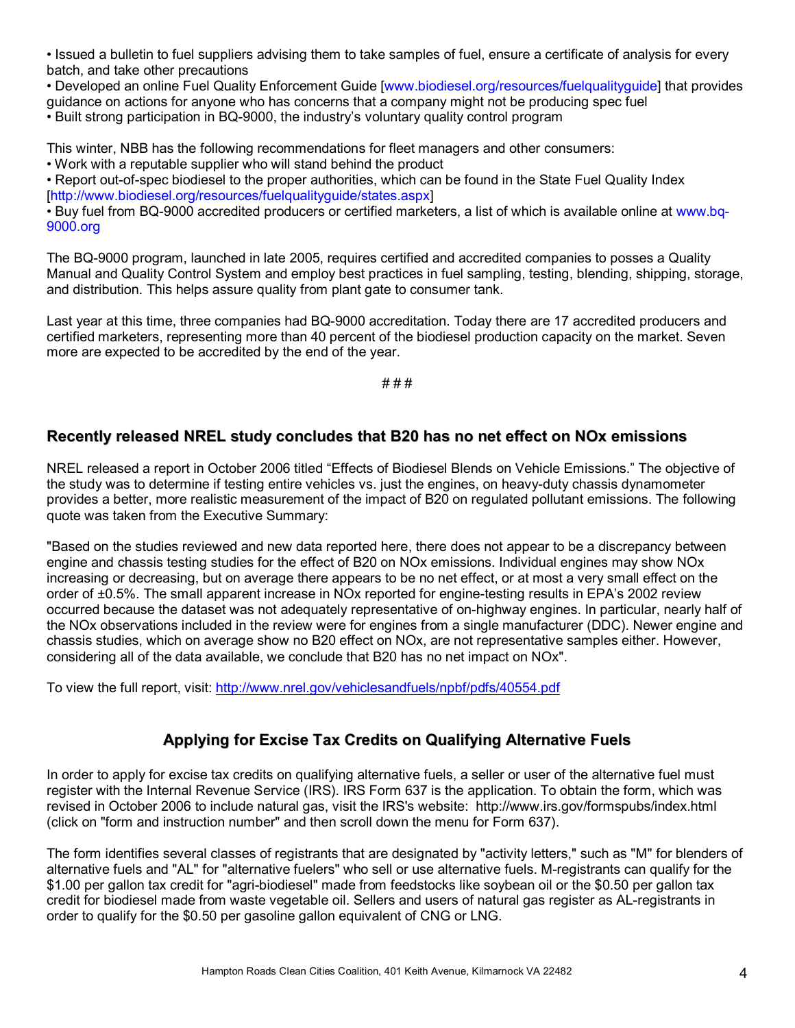• Issued a bulletin to fuel suppliers advising them to take samples of fuel, ensure a certificate of analysis for every batch, and take other precautions

• Developed an online Fuel Quality Enforcement Guide [www.biodiesel.org/resources/fuelqualityguide] that provides guidance on actions for anyone who has concerns that a company might not be producing spec fuel • Built strong participation in BQ-9000, the industry's voluntary quality control program

This winter, NBB has the following recommendations for fleet managers and other consumers:

• Work with a reputable supplier who will stand behind the product

• Report out-of-spec biodiesel to the proper authorities, which can be found in the State Fuel Quality Index [http://www.biodiesel.org/resources/fuelqualityguide/states.aspx]

• Buy fuel from BQ-9000 accredited producers or certified marketers, a list of which is available online at www.bq-9000.org

The BQ-9000 program, launched in late 2005, requires certified and accredited companies to posses a Quality Manual and Quality Control System and employ best practices in fuel sampling, testing, blending, shipping, storage, and distribution. This helps assure quality from plant gate to consumer tank.

Last year at this time, three companies had BQ-9000 accreditation. Today there are 17 accredited producers and certified marketers, representing more than 40 percent of the biodiesel production capacity on the market. Seven more are expected to be accredited by the end of the year.

# # #

### **Recently released NREL study concludes that B20 has no net effect on NOx emissions**

NREL released a report in October 2006 titled "Effects of Biodiesel Blends on Vehicle Emissions." The objective of the study was to determine if testing entire vehicles vs. just the engines, on heavy-duty chassis dynamometer provides a better, more realistic measurement of the impact of B20 on regulated pollutant emissions. The following quote was taken from the Executive Summary:

"Based on the studies reviewed and new data reported here, there does not appear to be a discrepancy between engine and chassis testing studies for the effect of B20 on NOx emissions. Individual engines may show NOx increasing or decreasing, but on average there appears to be no net effect, or at most a very small effect on the order of ±0.5%. The small apparent increase in NOx reported for engine-testing results in EPA's 2002 review occurred because the dataset was not adequately representative of on-highway engines. In particular, nearly half of the NOx observations included in the review were for engines from a single manufacturer (DDC). Newer engine and chassis studies, which on average show no B20 effect on NOx, are not representative samples either. However, considering all of the data available, we conclude that B20 has no net impact on NOx".

To view the full report, visit: http://www.nrel.gov/vehiclesandfuels/npbf/pdfs/40554.pdf

### **Applying for Excise Tax Credits on Qualifying Alternative Fuels**

In order to apply for excise tax credits on qualifying alternative fuels, a seller or user of the alternative fuel must register with the Internal Revenue Service (IRS). IRS Form 637 is the application. To obtain the form, which was revised in October 2006 to include natural gas, visit the IRS's website: http://www.irs.gov/formspubs/index.html (click on "form and instruction number" and then scroll down the menu for Form 637).

The form identifies several classes of registrants that are designated by "activity letters," such as "M" for blenders of alternative fuels and "AL" for "alternative fuelers" who sell or use alternative fuels. M-registrants can qualify for the \$1.00 per gallon tax credit for "agri-biodiesel" made from feedstocks like soybean oil or the \$0.50 per gallon tax credit for biodiesel made from waste vegetable oil. Sellers and users of natural gas register as AL-registrants in order to qualify for the \$0.50 per gasoline gallon equivalent of CNG or LNG.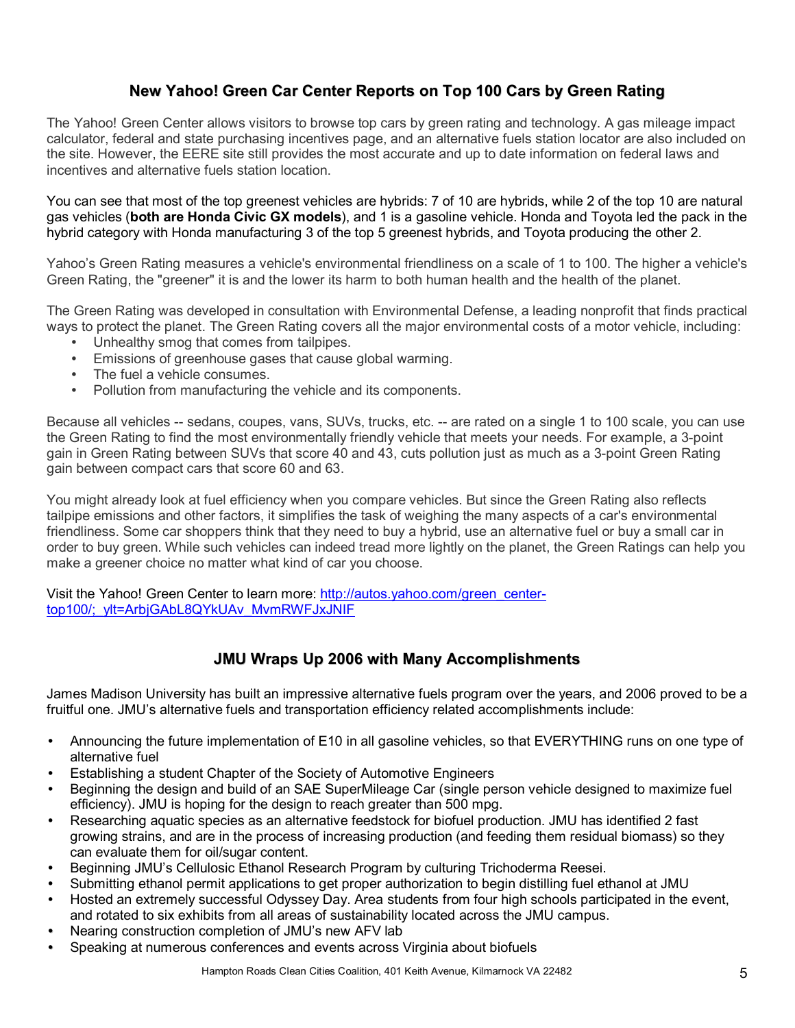## **New Yahoo! Green Car Center Reports on Top 100 Cars by Green Rating**

The Yahoo! Green Center allows visitors to browse top cars by green rating and technology. A gas mileage impact calculator, federal and state purchasing incentives page, and an alternative fuels station locator are also included on the site. However, the EERE site still provides the most accurate and up to date information on federal laws and incentives and alternative fuels station location.

You can see that most of the top greenest vehicles are hybrids: 7 of 10 are hybrids, while 2 of the top 10 are natural gas vehicles (**both are Honda Civic GX models**), and 1 is a gasoline vehicle. Honda and Toyota led the pack in the hybrid category with Honda manufacturing 3 of the top 5 greenest hybrids, and Toyota producing the other 2.

Yahooís Green Rating measures a vehicle's environmental friendliness on a scale of 1 to 100. The higher a vehicle's Green Rating, the "greener" it is and the lower its harm to both human health and the health of the planet.

The Green Rating was developed in consultation with Environmental Defense, a leading nonprofit that finds practical ways to protect the planet. The Green Rating covers all the major environmental costs of a motor vehicle, including:

- Unhealthy smog that comes from tailpipes.
- Emissions of greenhouse gases that cause global warming.
- The fuel a vehicle consumes.
- Pollution from manufacturing the vehicle and its components.

Because all vehicles -- sedans, coupes, vans, SUVs, trucks, etc. -- are rated on a single 1 to 100 scale, you can use the Green Rating to find the most environmentally friendly vehicle that meets your needs. For example, a 3-point gain in Green Rating between SUVs that score 40 and 43, cuts pollution just as much as a 3-point Green Rating gain between compact cars that score 60 and 63.

You might already look at fuel efficiency when you compare vehicles. But since the Green Rating also reflects tailpipe emissions and other factors, it simplifies the task of weighing the many aspects of a car's environmental friendliness. Some car shoppers think that they need to buy a hybrid, use an alternative fuel or buy a small car in order to buy green. While such vehicles can indeed tread more lightly on the planet, the Green Ratings can help you make a greener choice no matter what kind of car you choose.

Visit the Yahoo! Green Center to learn more: http://autos.yahoo.com/green\_centertop100/;\_vlt=ArbjGAbL8QYkUAv\_MvmRWFJxJNIF

### **JMU Wraps Up 2006 with Many Accomplishments**

James Madison University has built an impressive alternative fuels program over the years, and 2006 proved to be a fruitful one. JMU's alternative fuels and transportation efficiency related accomplishments include:

- Announcing the future implementation of E10 in all gasoline vehicles, so that EVERYTHING runs on one type of alternative fuel
- Establishing a student Chapter of the Society of Automotive Engineers
- Beginning the design and build of an SAE SuperMileage Car (single person vehicle designed to maximize fuel efficiency). JMU is hoping for the design to reach greater than 500 mpg.
- Researching aquatic species as an alternative feedstock for biofuel production. JMU has identified 2 fast growing strains, and are in the process of increasing production (and feeding them residual biomass) so they can evaluate them for oil/sugar content.
- Beginning JMUís Cellulosic Ethanol Research Program by culturing Trichoderma Reesei.
- Submitting ethanol permit applications to get proper authorization to begin distilling fuel ethanol at JMU
- Hosted an extremely successful Odyssey Day. Area students from four high schools participated in the event, and rotated to six exhibits from all areas of sustainability located across the JMU campus.
- Nearing construction completion of JMU's new AFV lab
- Speaking at numerous conferences and events across Virginia about biofuels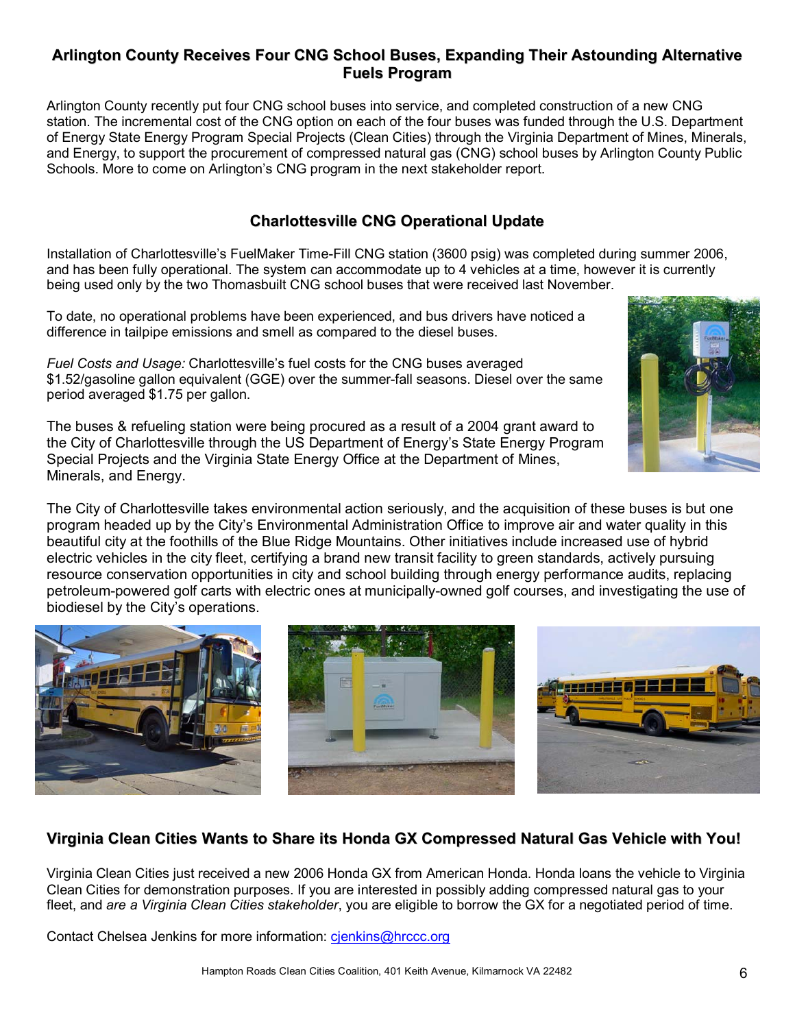### **Arlington County Receives Four CNG School Buses, Expanding Their Astounding Alternative Fuels Program**

Arlington County recently put four CNG school buses into service, and completed construction of a new CNG station. The incremental cost of the CNG option on each of the four buses was funded through the U.S. Department of Energy State Energy Program Special Projects (Clean Cities) through the Virginia Department of Mines, Minerals, and Energy, to support the procurement of compressed natural gas (CNG) school buses by Arlington County Public Schools. More to come on Arlingtonís CNG program in the next stakeholder report.

### **Charlottesville CNG Operational Update**

Installation of Charlottesvilleís FuelMaker Time-Fill CNG station (3600 psig) was completed during summer 2006, and has been fully operational. The system can accommodate up to 4 vehicles at a time, however it is currently being used only by the two Thomasbuilt CNG school buses that were received last November.

To date, no operational problems have been experienced, and bus drivers have noticed a difference in tailpipe emissions and smell as compared to the diesel buses.

*Fuel Costs and Usage: Charlottesville's fuel costs for the CNG buses averaged* \$1.52/gasoline gallon equivalent (GGE) over the summer-fall seasons. Diesel over the same period averaged \$1.75 per gallon.

The buses & refueling station were being procured as a result of a 2004 grant award to the City of Charlottesville through the US Department of Energy's State Energy Program Special Projects and the Virginia State Energy Office at the Department of Mines, Minerals, and Energy.

The City of Charlottesville takes environmental action seriously, and the acquisition of these buses is but one program headed up by the Cityís Environmental Administration Office to improve air and water quality in this beautiful city at the foothills of the Blue Ridge Mountains. Other initiatives include increased use of hybrid electric vehicles in the city fleet, certifying a brand new transit facility to green standards, actively pursuing resource conservation opportunities in city and school building through energy performance audits, replacing petroleum-powered golf carts with electric ones at municipally-owned golf courses, and investigating the use of biodiesel by the City's operations.

**Virginia Clean Cities Wants to Share its Honda GX Compressed Natural Gas Vehicle with You!**

Virginia Clean Cities just received a new 2006 Honda GX from American Honda. Honda loans the vehicle to Virginia Clean Cities for demonstration purposes. If you are interested in possibly adding compressed natural gas to your fleet, and *are a Virginia Clean Cities stakeholder*, you are eligible to borrow the GX for a negotiated period of time.

Contact Chelsea Jenkins for more information: cjenkins@hrccc.org



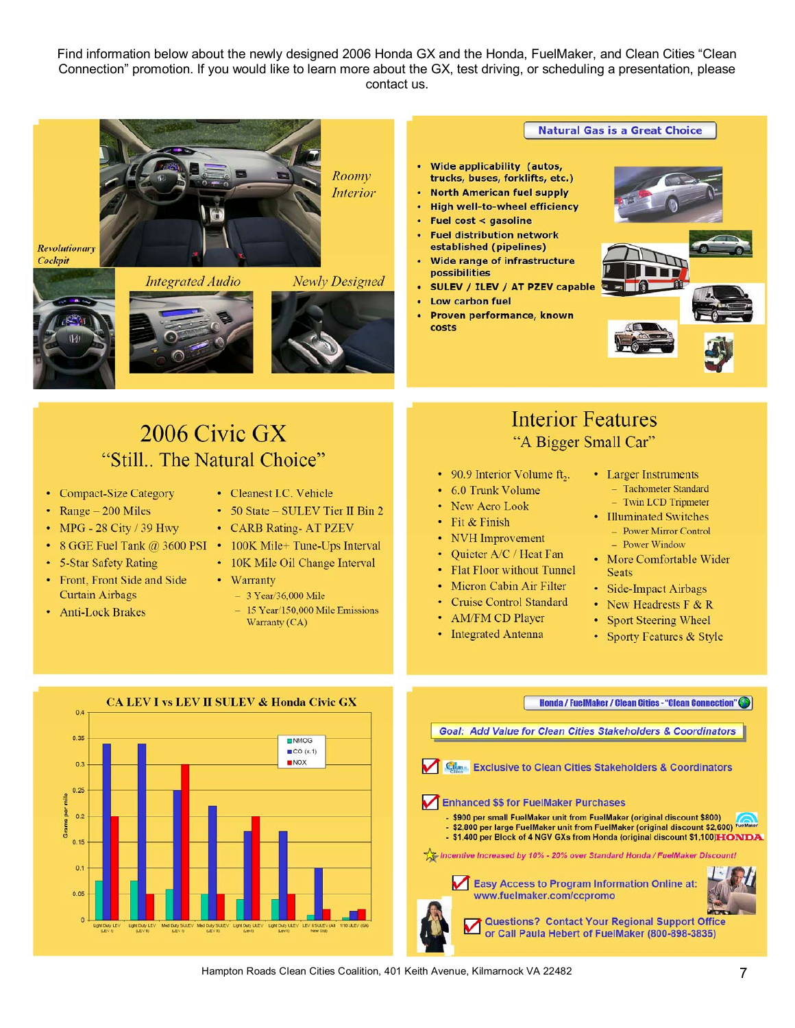Find information below about the newly designed 2006 Honda GX and the Honda, FuelMaker, and Clean Cities "Clean Connectionî promotion. If you would like to learn more about the GX, test driving, or scheduling a presentation, please contact us.



Hampton Roads Clean Cities Coalition, 401 Keith Avenue, Kilmarnock VA 22482 7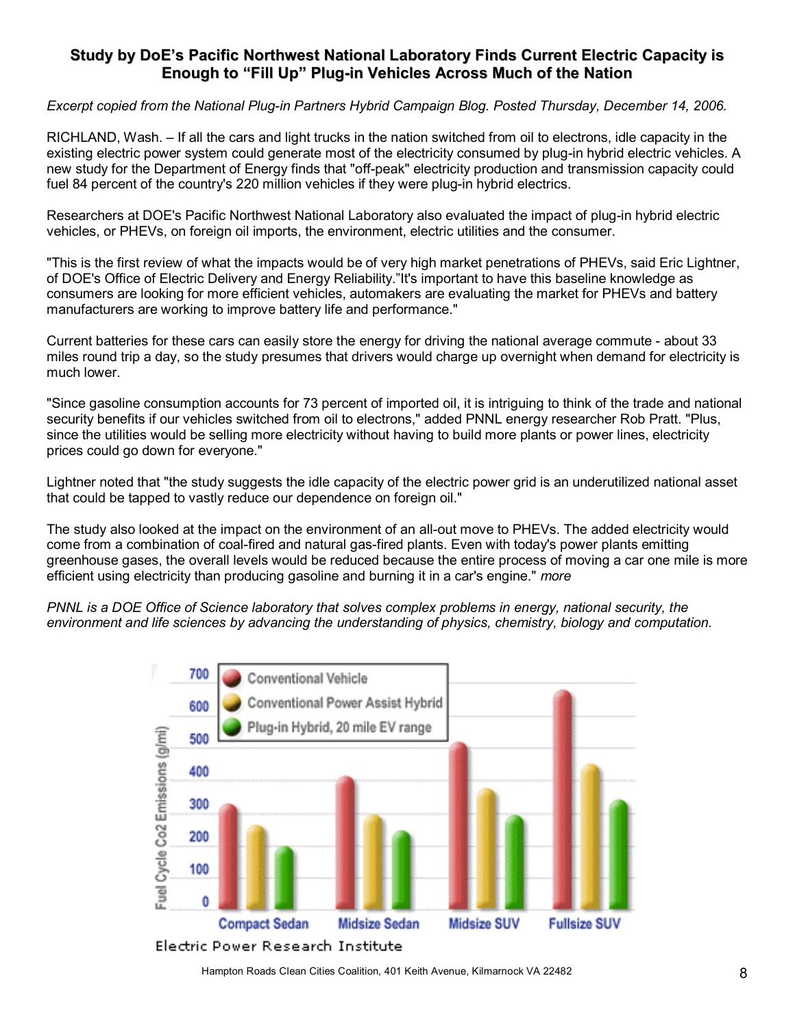### **Study by DoEís Pacific Northwest National Laboratory Finds Current Electric Capacity is Enough to ìFill Upî Plug-in Vehicles Across Much of the Nation**

*Excerpt copied from the National Plug-in Partners Hybrid Campaign Blog. Posted Thursday, December 14, 2006.* 

RICHLAND, Wash. – If all the cars and light trucks in the nation switched from oil to electrons, idle capacity in the existing electric power system could generate most of the electricity consumed by plug-in hybrid electric vehicles. A new study for the Department of Energy finds that "off-peak" electricity production and transmission capacity could fuel 84 percent of the country's 220 million vehicles if they were plug-in hybrid electrics.

Researchers at DOE's Pacific Northwest National Laboratory also evaluated the impact of plug-in hybrid electric vehicles, or PHEVs, on foreign oil imports, the environment, electric utilities and the consumer.

"This is the first review of what the impacts would be of very high market penetrations of PHEVs, said Eric Lightner, of DOE's Office of Electric Delivery and Energy Reliability."It's important to have this baseline knowledge as consumers are looking for more efficient vehicles, automakers are evaluating the market for PHEVs and battery manufacturers are working to improve battery life and performance."

Current batteries for these cars can easily store the energy for driving the national average commute - about 33 miles round trip a day, so the study presumes that drivers would charge up overnight when demand for electricity is much lower.

"Since gasoline consumption accounts for 73 percent of imported oil, it is intriguing to think of the trade and national security benefits if our vehicles switched from oil to electrons," added PNNL energy researcher Rob Pratt. "Plus, since the utilities would be selling more electricity without having to build more plants or power lines, electricity prices could go down for everyone."

Lightner noted that "the study suggests the idle capacity of the electric power grid is an underutilized national asset that could be tapped to vastly reduce our dependence on foreign oil."

The study also looked at the impact on the environment of an all-out move to PHEVs. The added electricity would come from a combination of coal-fired and natural gas-fired plants. Even with today's power plants emitting greenhouse gases, the overall levels would be reduced because the entire process of moving a car one mile is more efficient using electricity than producing gasoline and burning it in a car's engine." *more*

*PNNL is a DOE Office of Science laboratory that solves complex problems in energy, national security, the environment and life sciences by advancing the understanding of physics, chemistry, biology and computation.* 



Hampton Roads Clean Cities Coalition, 401 Keith Avenue, Kilmarnock VA 22482 **88** 8